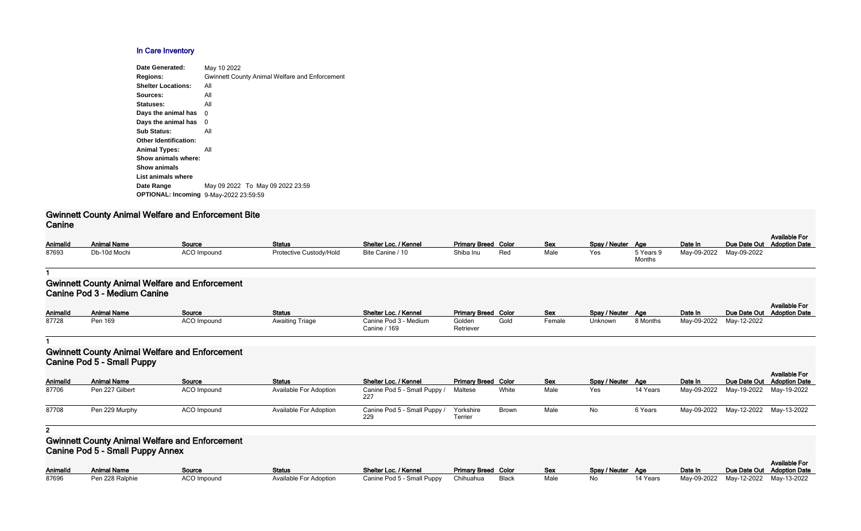#### **In Care Inventory**

| Date Generated:                               | May 10 2022                                           |
|-----------------------------------------------|-------------------------------------------------------|
| <b>Regions:</b>                               | <b>Gwinnett County Animal Welfare and Enforcement</b> |
| <b>Shelter Locations:</b>                     | All                                                   |
| Sources:                                      | All                                                   |
| Statuses:                                     | All                                                   |
| Days the animal has                           | 0                                                     |
| Days the animal has                           | 0                                                     |
| <b>Sub Status:</b>                            | All                                                   |
| <b>Other Identification:</b>                  |                                                       |
| <b>Animal Types:</b>                          | All                                                   |
| Show animals where:                           |                                                       |
| <b>Show animals</b>                           |                                                       |
| List animals where                            |                                                       |
| Date Range                                    | May 09 2022 To May 09 2022 23:59                      |
| <b>OPTIONAL: Incoming 9-May-2022 23:59:59</b> |                                                       |
|                                               |                                                       |

# **Gwinnett County Animal Welfare and Enforcement Bite Canine**

| Animalld | <b>Animal Name</b> | Source             | <b>Status</b>           | Shelter Loc. / Kennel | <b>Primary Breed Color</b> |     | <b>Sex</b> | Spay / Neuter Age |           | Date In     | Due Date Out |
|----------|--------------------|--------------------|-------------------------|-----------------------|----------------------------|-----|------------|-------------------|-----------|-------------|--------------|
| 87693    | Db-10d Mochi       | <b>ACO Impound</b> | Protective Custody/Hold | Bite Canine / 10      | Shiba Inu                  | Rec | Male       | Yes               | ר Years 9 | May-09-2022 | May-09-2022  |
|          |                    |                    |                         |                       |                            |     |            |                   | $M$ onth  |             |              |

| Spay / Neuter | Age                 | Date In     |             | Available For<br>Due Date Out Adoption Date |
|---------------|---------------------|-------------|-------------|---------------------------------------------|
| Yes           | 5 Years 9<br>Months | May-09-2022 | May-09-2022 |                                             |

#### **1**

#### **Gwinnett County Animal Welfare and Enforcement Canine Pod 3 - Medium Canine**

| AnimalId | <b>Animal Name</b> | Source      | <b>Status</b>          | Shelter Loc. / Kennel                 | <b>Primary Breed Color</b> |      | <b>Sex</b> | Spay / Neuter Age |          | Date In                 | Due Date Out Adoption Date | <b>Available For</b> |
|----------|--------------------|-------------|------------------------|---------------------------------------|----------------------------|------|------------|-------------------|----------|-------------------------|----------------------------|----------------------|
| 87728    | Pen 169            | ACO Impound | <b>Awaiting Triage</b> | Canine Pod 3 - Medium<br>Canine / 169 | Golden<br>Retriever        | Golc | Female     | Unknown           | 8 Months | May-09-2022 May-12-2022 |                            |                      |

#### **1**

# **Gwinnett County Animal Welfare and Enforcement Canine Pod 5 - Small Puppy**

| <b>UGHILIC FUG J - JIHAH FUPPY</b> |                    |             |                               |                                     |                            |              |            |                   |          |         |                                     |                                                    |
|------------------------------------|--------------------|-------------|-------------------------------|-------------------------------------|----------------------------|--------------|------------|-------------------|----------|---------|-------------------------------------|----------------------------------------------------|
| AnimalId                           | <b>Animal Name</b> | Source      | <b>Status</b>                 | Shelter Loc. / Kennel               | <b>Primary Breed Color</b> |              | <b>Sex</b> | Spay / Neuter Age |          | Date In |                                     | <b>Available For</b><br>Due Date Out Adoption Date |
| 87706                              | Pen 227 Gilbert    | ACO Impound | <b>Available For Adoption</b> | Canine Pod 5 - Small Puppy /<br>227 | Maltese                    | White        | Male       | Yes               | 14 Years |         | May-09-2022 May-19-2022 May-19-2022 |                                                    |
| 87708                              | Pen 229 Murphy     | ACO Impound | <b>Available For Adoption</b> | Canine Pod 5 - Small Puppy /<br>229 | Yorkshire<br>Terrier       | <b>Brown</b> | Male       | No                | 6 Years  |         | May-09-2022 May-12-2022 May-13-2022 |                                                    |

#### **2**

### **Gwinnett County Animal Welfare and Enforcement Canine Pod 5 - Small Puppy Annex**

| Animalld | <b>Animal Name</b> | Source      | Status                        | Shelter Loc. / Kennel                      | <b>Primary Breed Color</b> | <b>Sex</b> | Spay / Neuter Age | Date In                          | Due Date Out |
|----------|--------------------|-------------|-------------------------------|--------------------------------------------|----------------------------|------------|-------------------|----------------------------------|--------------|
| 87696    | Pen 228 Ralphie    | ACO Impound | <b>Available For Adoption</b> | Canine Pod 5 - Small Puppy Chihuahua Black |                            | Male       |                   | 14 Years May-09-2022 May-12-2022 |              |

| <b>Primary Breed Color</b> |       | Sex  | Spay / Neuter | Aae      | Date In     | Due Date Out Adoption Date | <b>Available For</b> |
|----------------------------|-------|------|---------------|----------|-------------|----------------------------|----------------------|
| Chihuahua                  | Black | Male | No            | 14 Years | Mav-09-2022 | Mav-12-2022                | Mav-13-2022          |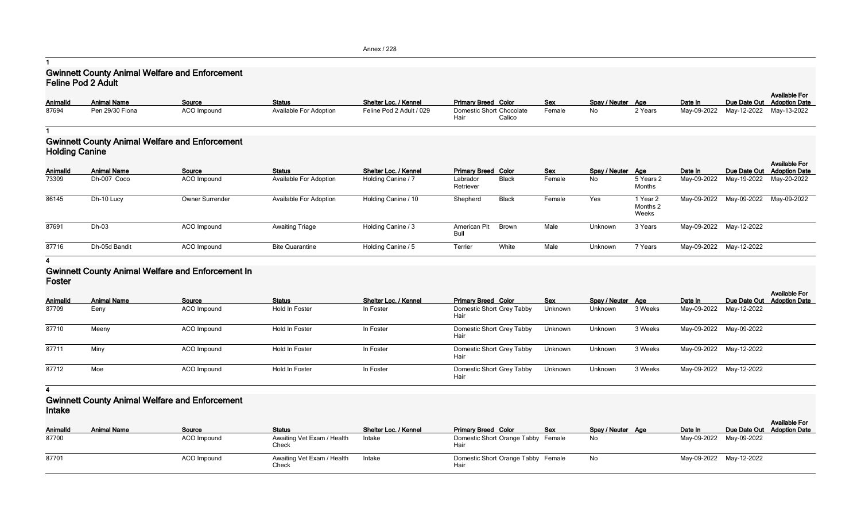Annex / 228

**1**

# **Gwinnett County Animal Welfare and Enforcement Feline Pod 2 Adult**

| Animalld<br>Spay / Neuter Age<br>Due Date Out Adoption Date<br>Source<br>Sex<br>May-09-2022 May-12-2022 May-13-2022<br>Pen 29/30 Fiona<br><b>ACO</b> Impound<br><b>Available For Adoption</b><br>Feline Pod 2 Adult / 029<br><b>Domestic Short Chocolate</b><br>No<br>2 Years<br>Female |                    |               |                       |                            |  |         | <b>Available For</b> |
|-----------------------------------------------------------------------------------------------------------------------------------------------------------------------------------------------------------------------------------------------------------------------------------------|--------------------|---------------|-----------------------|----------------------------|--|---------|----------------------|
| 87694                                                                                                                                                                                                                                                                                   | <b>Animal Name</b> | <b>Status</b> | Shelter Loc. / Kennel | <b>Primary Breed Color</b> |  | Date In |                      |
|                                                                                                                                                                                                                                                                                         |                    |               |                       | Hair<br>Calico             |  |         |                      |

#### **1 Gwinnett County Animal Welfare and Enforcement Holding Canine**

|                 | $\cdots$           |                        |                               |                       |                            |              |            |                   |                               |             |                                     |                                                    |  |
|-----------------|--------------------|------------------------|-------------------------------|-----------------------|----------------------------|--------------|------------|-------------------|-------------------------------|-------------|-------------------------------------|----------------------------------------------------|--|
| <b>AnimalId</b> | <b>Animal Name</b> | Source                 | <b>Status</b>                 | Shelter Loc. / Kennel | <b>Primary Breed Color</b> |              | <b>Sex</b> | Spay / Neuter Age |                               | Date In     |                                     | <b>Available For</b><br>Due Date Out Adoption Date |  |
| 73309           | Dh-007 Coco        | ACO Impound            | <b>Available For Adoption</b> | Holding Canine / 7    | Labrador<br>Retriever      | <b>Black</b> | Female     | No                | 5 Years 2<br>Months           | May-09-2022 | May-19-2022 May-20-2022             |                                                    |  |
| 86145           | Dh-10 Lucy         | <b>Owner Surrender</b> | <b>Available For Adoption</b> | Holding Canine / 10   | Shepherd                   | <b>Black</b> | Female     | Yes               | 1 Year 2<br>Months 2<br>Weeks |             | May-09-2022 May-09-2022 May-09-2022 |                                                    |  |
| 87691           | Dh-03              | ACO Impound            | <b>Awaiting Triage</b>        | Holding Canine / 3    | American Pit<br>Bull       | Brown        | Male       | Unknown           | 3 Years                       |             | May-09-2022 May-12-2022             |                                                    |  |
| 87716           | Dh-05d Bandit      | ACO Impound            | <b>Bite Quarantine</b>        | Holding Canine / 5    | Terrier                    | White        | Male       | Unknown           | 7 Years                       |             | May-09-2022 May-12-2022             |                                                    |  |

#### **4**

#### **Gwinnett County Animal Welfare and Enforcement In Foster**

| <b>AnimalId</b> | <b>Animal Name</b> | Source             | <b>Status</b>  | <b>Shelter Loc. / Kennel</b> | <b>Primary Breed Color</b>        | <b>Sex</b> | Spay / Neuter Age |         | Date In                 | <b>Available For</b><br>Due Date Out Adoption Date |
|-----------------|--------------------|--------------------|----------------|------------------------------|-----------------------------------|------------|-------------------|---------|-------------------------|----------------------------------------------------|
| 87709           | Eeny               | ACO Impound        | Hold In Foster | In Foster                    | Domestic Short Grey Tabby<br>Hair | Unknown    | Unknown           | 3 Weeks | May-09-2022 May-12-2022 |                                                    |
| 87710           | Meeny              | <b>ACO</b> Impound | Hold In Foster | In Foster                    | Domestic Short Grey Tabby<br>Hair | Unknown    | Unknown           | 3 Weeks | May-09-2022 May-09-2022 |                                                    |
| 87711           | Miny               | ACO Impound        | Hold In Foster | In Foster                    | Domestic Short Grey Tabby<br>Hair | Unknown    | Unknown           | 3 Weeks | May-09-2022 May-12-2022 |                                                    |
| 87712           | Moe                | ACO Impound        | Hold In Foster | In Foster                    | Domestic Short Grey Tabby<br>Hair | Unknown    | Unknown           | 3 Weeks | May-09-2022 May-12-2022 |                                                    |

#### **4**

### **Gwinnett County Animal Welfare and Enforcement Intake**

| ---------<br><b>AnimalId</b> | <b>Animal Name</b> | Source      | <b>Status</b>                       | <b>Shelter Loc. / Kennel</b> | <b>Primary Breed Color</b>                 | Sex | Spay / Neuter Age | Date In                 | <b>Available For</b><br>Due Date Out Adoption Date |
|------------------------------|--------------------|-------------|-------------------------------------|------------------------------|--------------------------------------------|-----|-------------------|-------------------------|----------------------------------------------------|
| 87700                        |                    | ACO Impound | Awaiting Vet Exam / Health<br>Check | Intake                       | Domestic Short Orange Tabby Female<br>Hair |     | No.               | May-09-2022 May-09-2022 |                                                    |
| 87701                        |                    | ACO Impound | Awaiting Vet Exam / Health<br>Check | Intake                       | Domestic Short Orange Tabby Female<br>Hair |     | No.               | May-09-2022 May-12-2022 |                                                    |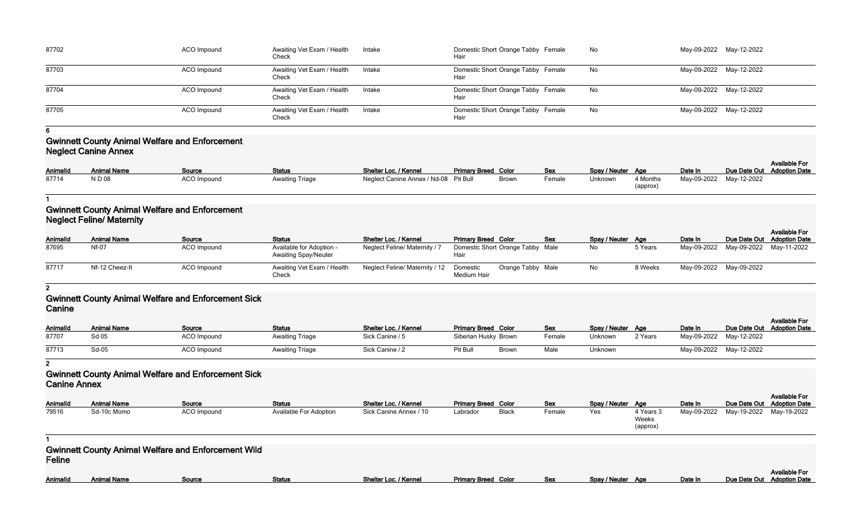| 87702 | <b>ACO</b> Impound | Awaiting Vet Exam / Health<br>Check | Intake | Domestic Short Orange Tabby Female<br>Hair | No | May-09-2022 May-12-2022 |                         |
|-------|--------------------|-------------------------------------|--------|--------------------------------------------|----|-------------------------|-------------------------|
| 87703 | ACO Impound        | Awaiting Vet Exam / Health<br>Check | Intake | Domestic Short Orange Tabby Female<br>Hair | No | May-09-2022 May-12-2022 |                         |
| 87704 | ACO Impound        | Awaiting Vet Exam / Health<br>Check | Intake | Domestic Short Orange Tabby Female<br>Hair | No |                         | May-09-2022 May-12-2022 |
| 87705 | <b>ACO</b> Impound | Awaiting Vet Exam / Health<br>Check | Intake | Domestic Short Orange Tabby Female<br>Hair | No | May-09-2022 May-12-2022 |                         |

**6**

# **Gwinnett County Animal Welfare and Enforcement Neglect Canine Annex**

| <b>AnimalId</b> | <b>Animal Name</b> | Source             | <b>Status</b>          | Shelter Loc. / Kennel                 | <b>Primary Breed Color</b> |              | <b>Sex</b> | Spay / Neuter Age |                      | Date In                 | <b>Available For</b><br>Due Date Out Adoption Date |
|-----------------|--------------------|--------------------|------------------------|---------------------------------------|----------------------------|--------------|------------|-------------------|----------------------|-------------------------|----------------------------------------------------|
| 87714           | N D 08             | <b>ACO Impound</b> | <b>Awaiting Triage</b> | Neglect Canine Annex / Nd-08 Pit Bull |                            | <b>Brown</b> | Female     | Unknown           | 4 Months<br>(approx) | May-09-2022 May-12-2022 |                                                    |

# **1**

#### **Gwinnett County Animal Welfare and Enforcement Neglect Feline/ Maternity**

| Animalld | <b>Animal Name</b> | Source      | <b>Status</b>                                           | Shelter Loc. / Kennel          | <b>Primary Breed Color</b>                   | <b>Sex</b> | Spay / Neuter Age |         | Date In                             | <b>Available For</b><br>Due Date Out Adoption Date |
|----------|--------------------|-------------|---------------------------------------------------------|--------------------------------|----------------------------------------------|------------|-------------------|---------|-------------------------------------|----------------------------------------------------|
| 87695    | Nf-07              | ACO Impound | Available for Adoption -<br><b>Awaiting Spay/Neuter</b> | Neglect Feline/ Maternity / 7  | Domestic Short Orange Tabby Male             |            | No.               | 5 Years | May-09-2022 May-09-2022 May-11-2022 |                                                    |
| 87717    | Nf-12 Cheez-It     | ACO Impound | Awaiting Vet Exam / Health<br>Check                     | Neglect Feline/ Maternity / 12 | Orange Tabby Male<br>Domestic<br>Medium Hair |            | No                | 8 Weeks | May-09-2022 May-09-2022             |                                                    |

**2**

### **Gwinnett County Animal Welfare and Enforcement Sick Canine**

| Animalld | <b>Animal Name</b> | Source             | <b>Status</b>          | Shelter Loc. / Kennel | <b>Primary Breed Color</b> |       | <b>Sex</b> | Spay / Neuter Age |         | Date In                 | Due Date Out Adoption Date | <b>Available For</b> |
|----------|--------------------|--------------------|------------------------|-----------------------|----------------------------|-------|------------|-------------------|---------|-------------------------|----------------------------|----------------------|
| 87707    | Sd 05              | <b>ACO Impound</b> | <b>Awaiting Triage</b> | Sick Canine / 5       | Siberian Husky Brown       |       | Female     | Unknown           | 2 Years | May-09-2022 May-12-2022 |                            |                      |
| 87713    | Sd-05              | <b>ACO Impound</b> | <b>Awaiting Triage</b> | Sick Canine / 2       | Pit Bull                   | Brown | Male       | Unknown           |         | May-09-2022 May-12-2022 |                            |                      |

**2**

# **Gwinnett County Animal Welfare and Enforcement Sick Canine Annex**

| AnimalId | <b>Animal Name</b> | Source             | <b>Status</b>                 | Shelter Loc. / Kennel  | <b>Primary Breed Color</b> |              | <b>Sex</b> | Spay / Neuter Age |                                | Date In     | Due Date Out |
|----------|--------------------|--------------------|-------------------------------|------------------------|----------------------------|--------------|------------|-------------------|--------------------------------|-------------|--------------|
| 79516    | Sd-10c Momo        | <b>ACO Impound</b> | <b>Available For Adoption</b> | Sick Canine Annex / 10 | Labrador                   | <b>Black</b> | Female     | Yes               | 4 Years 3<br>Weeks<br>(approx) | May-09-2022 | May-19-2022  |
|          |                    |                    |                               |                        |                            |              |            |                   |                                |             |              |

| Spay / Neuter<br>Yes | Age<br>4 Years 3<br>Weeks<br>(approx) | Date In<br>May-09-2022 | Due Date Out<br>May-19-2022 | <b>Available For</b><br><b>Adoption Date</b><br>May-19-2022 |
|----------------------|---------------------------------------|------------------------|-----------------------------|-------------------------------------------------------------|
| Spay / Neuter        | Age                                   | Date In                | Due Date Out                | <b>Available For</b><br><b>Adoption Date</b>                |

| <b>Feline</b>   | <b>Gwinnett County Animal Welfare and Enforcement Wild</b> |        |               |                       |                            |            |                   |         |              |
|-----------------|------------------------------------------------------------|--------|---------------|-----------------------|----------------------------|------------|-------------------|---------|--------------|
| <b>AnimalId</b> | <b>Animal Name</b>                                         | Source | <b>Status</b> | Shelter Loc. / Kennel | <b>Primary Breed Color</b> | <b>Sex</b> | Spay / Neuter Age | Date In | Due Date Out |